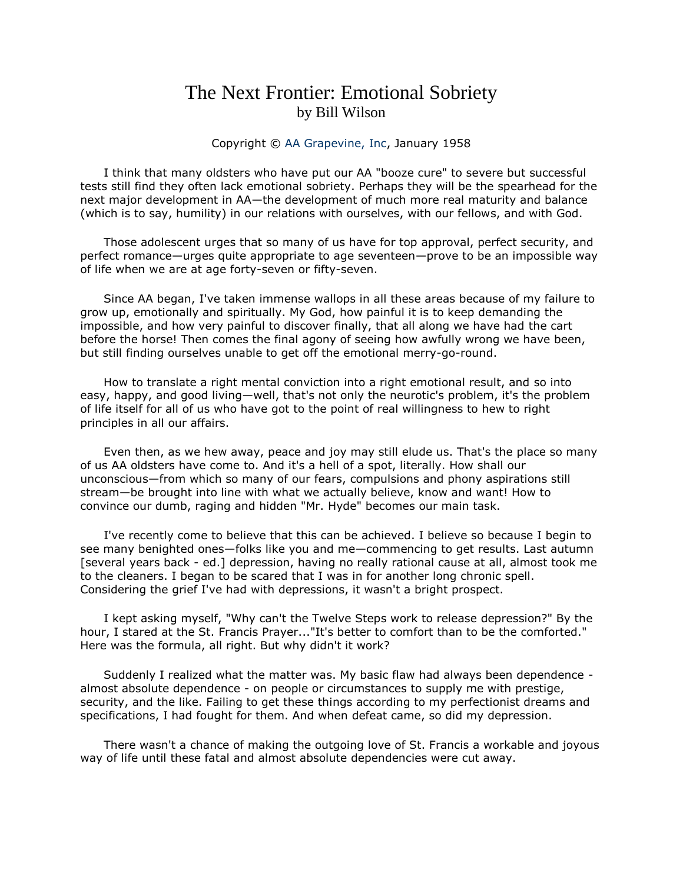## The Next Frontier: Emotional Sobriety by Bill Wilson

## Copyright © [AA Grapevine, Inc,](http://silkworth.net/attention/aagrapevine.html) January 1958

 I think that many oldsters who have put our AA "booze cure" to severe but successful tests still find they often lack emotional sobriety. Perhaps they will be the spearhead for the next major development in AA—the development of much more real maturity and balance (which is to say, humility) in our relations with ourselves, with our fellows, and with God.

 Those adolescent urges that so many of us have for top approval, perfect security, and perfect romance—urges quite appropriate to age seventeen—prove to be an impossible way of life when we are at age forty-seven or fifty-seven.

 Since AA began, I've taken immense wallops in all these areas because of my failure to grow up, emotionally and spiritually. My God, how painful it is to keep demanding the impossible, and how very painful to discover finally, that all along we have had the cart before the horse! Then comes the final agony of seeing how awfully wrong we have been, but still finding ourselves unable to get off the emotional merry-go-round.

 How to translate a right mental conviction into a right emotional result, and so into easy, happy, and good living—well, that's not only the neurotic's problem, it's the problem of life itself for all of us who have got to the point of real willingness to hew to right principles in all our affairs.

 Even then, as we hew away, peace and joy may still elude us. That's the place so many of us AA oldsters have come to. And it's a hell of a spot, literally. How shall our unconscious—from which so many of our fears, compulsions and phony aspirations still stream—be brought into line with what we actually believe, know and want! How to convince our dumb, raging and hidden "Mr. Hyde" becomes our main task.

 I've recently come to believe that this can be achieved. I believe so because I begin to see many benighted ones—folks like you and me—commencing to get results. Last autumn [several years back - ed.] depression, having no really rational cause at all, almost took me to the cleaners. I began to be scared that I was in for another long chronic spell. Considering the grief I've had with depressions, it wasn't a bright prospect.

 I kept asking myself, "Why can't the Twelve Steps work to release depression?" By the hour, I stared at the St. Francis Prayer..."It's better to comfort than to be the comforted." Here was the formula, all right. But why didn't it work?

 Suddenly I realized what the matter was. My basic flaw had always been dependence almost absolute dependence - on people or circumstances to supply me with prestige, security, and the like. Failing to get these things according to my perfectionist dreams and specifications, I had fought for them. And when defeat came, so did my depression.

 There wasn't a chance of making the outgoing love of St. Francis a workable and joyous way of life until these fatal and almost absolute dependencies were cut away.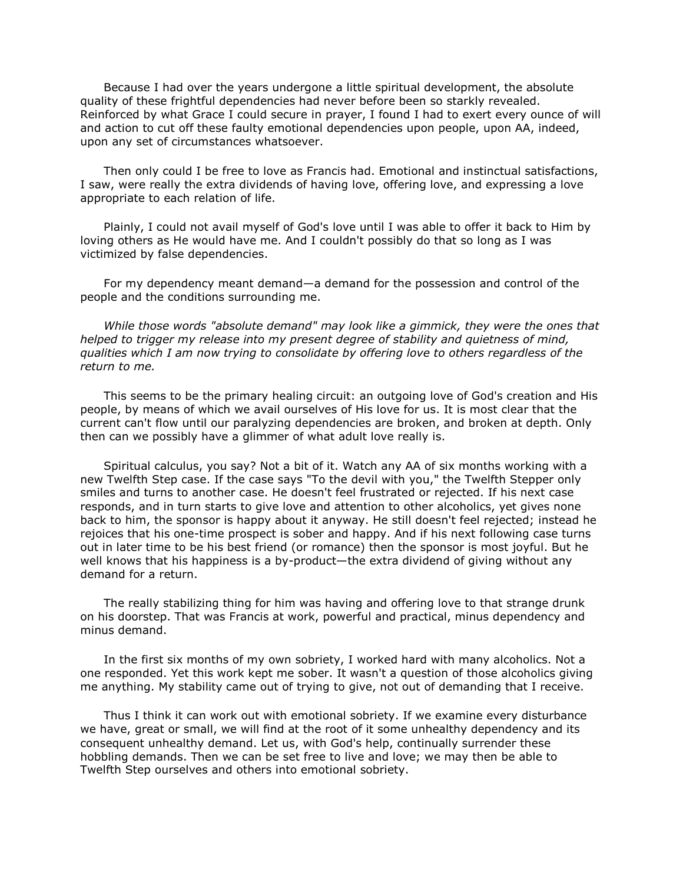Because I had over the years undergone a little spiritual development, the absolute quality of these frightful dependencies had never before been so starkly revealed. Reinforced by what Grace I could secure in prayer, I found I had to exert every ounce of will and action to cut off these faulty emotional dependencies upon people, upon AA, indeed, upon any set of circumstances whatsoever.

 Then only could I be free to love as Francis had. Emotional and instinctual satisfactions, I saw, were really the extra dividends of having love, offering love, and expressing a love appropriate to each relation of life.

 Plainly, I could not avail myself of God's love until I was able to offer it back to Him by loving others as He would have me. And I couldn't possibly do that so long as I was victimized by false dependencies.

 For my dependency meant demand—a demand for the possession and control of the people and the conditions surrounding me.

 *While those words "absolute demand" may look like a gimmick, they were the ones that helped to trigger my release into my present degree of stability and quietness of mind, qualities which I am now trying to consolidate by offering love to others regardless of the return to me.*

 This seems to be the primary healing circuit: an outgoing love of God's creation and His people, by means of which we avail ourselves of His love for us. It is most clear that the current can't flow until our paralyzing dependencies are broken, and broken at depth. Only then can we possibly have a glimmer of what adult love really is.

 Spiritual calculus, you say? Not a bit of it. Watch any AA of six months working with a new Twelfth Step case. If the case says "To the devil with you," the Twelfth Stepper only smiles and turns to another case. He doesn't feel frustrated or rejected. If his next case responds, and in turn starts to give love and attention to other alcoholics, yet gives none back to him, the sponsor is happy about it anyway. He still doesn't feel rejected; instead he rejoices that his one-time prospect is sober and happy. And if his next following case turns out in later time to be his best friend (or romance) then the sponsor is most joyful. But he well knows that his happiness is a by-product—the extra dividend of giving without any demand for a return.

 The really stabilizing thing for him was having and offering love to that strange drunk on his doorstep. That was Francis at work, powerful and practical, minus dependency and minus demand.

 In the first six months of my own sobriety, I worked hard with many alcoholics. Not a one responded. Yet this work kept me sober. It wasn't a question of those alcoholics giving me anything. My stability came out of trying to give, not out of demanding that I receive.

 Thus I think it can work out with emotional sobriety. If we examine every disturbance we have, great or small, we will find at the root of it some unhealthy dependency and its consequent unhealthy demand. Let us, with God's help, continually surrender these hobbling demands. Then we can be set free to live and love; we may then be able to Twelfth Step ourselves and others into emotional sobriety.